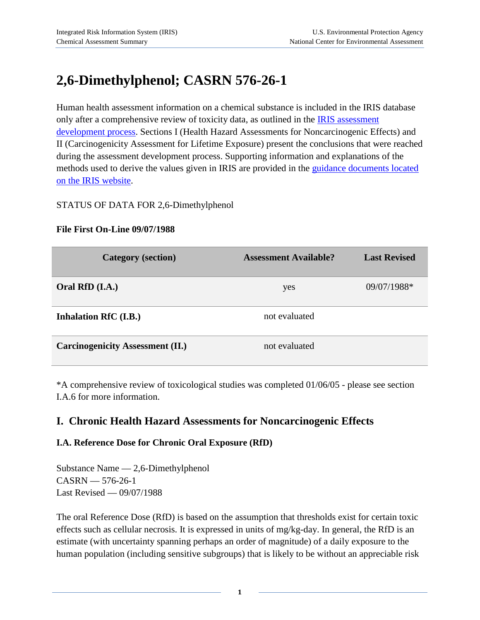# **2,6-Dimethylphenol; CASRN 576-26-1**

Human health assessment information on a chemical substance is included in the IRIS database only after a comprehensive review of toxicity data, as outlined in the **IRIS** assessment [development process.](http://www.epa.gov/iris/process.htm) Sections I (Health Hazard Assessments for Noncarcinogenic Effects) and II (Carcinogenicity Assessment for Lifetime Exposure) present the conclusions that were reached during the assessment development process. Supporting information and explanations of the methods used to derive the values given in IRIS are provided in the [guidance documents located](http://www.epa.gov/iris/backgrd.html)  [on the IRIS website.](http://www.epa.gov/iris/backgrd.html)

#### STATUS OF DATA FOR 2,6-Dimethylphenol

#### **File First On-Line 09/07/1988**

| <b>Category</b> (section)               | <b>Assessment Available?</b> | <b>Last Revised</b> |
|-----------------------------------------|------------------------------|---------------------|
| Oral RfD (I.A.)                         | yes                          | 09/07/1988*         |
| Inhalation RfC (I.B.)                   | not evaluated                |                     |
| <b>Carcinogenicity Assessment (II.)</b> | not evaluated                |                     |

\*A comprehensive review of toxicological studies was completed 01/06/05 - please see section I.A.6 for more information.

## **I. Chronic Health Hazard Assessments for Noncarcinogenic Effects**

#### **I.A. Reference Dose for Chronic Oral Exposure (RfD)**

Substance Name — 2,6-Dimethylphenol CASRN — 576-26-1 Last Revised — 09/07/1988

The oral Reference Dose (RfD) is based on the assumption that thresholds exist for certain toxic effects such as cellular necrosis. It is expressed in units of mg/kg-day. In general, the RfD is an estimate (with uncertainty spanning perhaps an order of magnitude) of a daily exposure to the human population (including sensitive subgroups) that is likely to be without an appreciable risk

**1**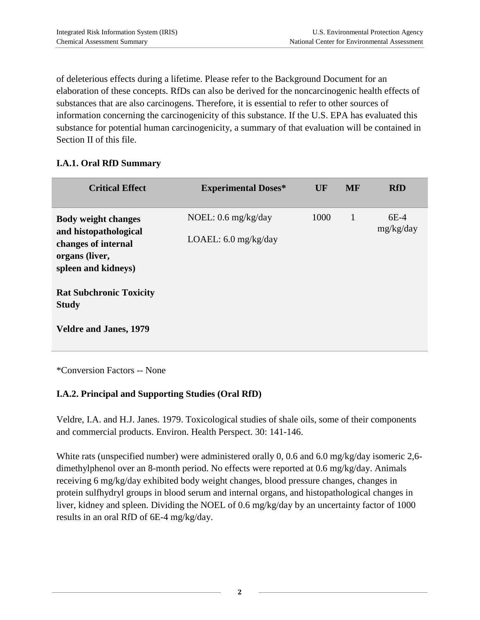of deleterious effects during a lifetime. Please refer to the Background Document for an elaboration of these concepts. RfDs can also be derived for the noncarcinogenic health effects of substances that are also carcinogens. Therefore, it is essential to refer to other sources of information concerning the carcinogenicity of this substance. If the U.S. EPA has evaluated this substance for potential human carcinogenicity, a summary of that evaluation will be contained in Section II of this file.

#### **I.A.1. Oral RfD Summary**

| <b>Critical Effect</b>                                                                                              | <b>Experimental Doses*</b>                                      | UF   | <b>MF</b>    | <b>RfD</b>          |
|---------------------------------------------------------------------------------------------------------------------|-----------------------------------------------------------------|------|--------------|---------------------|
| <b>Body weight changes</b><br>and histopathological<br>changes of internal<br>organs (liver,<br>spleen and kidneys) | NOEL: $0.6 \text{ mg/kg/day}$<br>LOAEL: $6.0 \text{ mg/kg/day}$ | 1000 | $\mathbf{1}$ | $6E-4$<br>mg/kg/day |
| <b>Rat Subchronic Toxicity</b><br><b>Study</b><br><b>Veldre and Janes, 1979</b>                                     |                                                                 |      |              |                     |
|                                                                                                                     |                                                                 |      |              |                     |

\*Conversion Factors -- None

### **I.A.2. Principal and Supporting Studies (Oral RfD)**

Veldre, I.A. and H.J. Janes. 1979. Toxicological studies of shale oils, some of their components and commercial products. Environ. Health Perspect. 30: 141-146.

White rats (unspecified number) were administered orally 0, 0.6 and 6.0 mg/kg/day isomeric 2,6 dimethylphenol over an 8-month period. No effects were reported at 0.6 mg/kg/day. Animals receiving 6 mg/kg/day exhibited body weight changes, blood pressure changes, changes in protein sulfhydryl groups in blood serum and internal organs, and histopathological changes in liver, kidney and spleen. Dividing the NOEL of 0.6 mg/kg/day by an uncertainty factor of 1000 results in an oral RfD of 6E-4 mg/kg/day.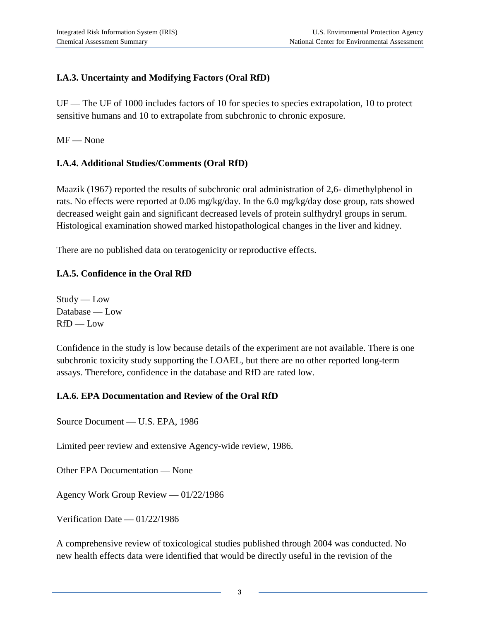## **I.A.3. Uncertainty and Modifying Factors (Oral RfD)**

UF — The UF of 1000 includes factors of 10 for species to species extrapolation, 10 to protect sensitive humans and 10 to extrapolate from subchronic to chronic exposure.

MF — None

## **I.A.4. Additional Studies/Comments (Oral RfD)**

Maazik (1967) reported the results of subchronic oral administration of 2,6- dimethylphenol in rats. No effects were reported at 0.06 mg/kg/day. In the 6.0 mg/kg/day dose group, rats showed decreased weight gain and significant decreased levels of protein sulfhydryl groups in serum. Histological examination showed marked histopathological changes in the liver and kidney.

There are no published data on teratogenicity or reproductive effects.

## **I.A.5. Confidence in the Oral RfD**

 $Study - Low$ Database — Low RfD — Low

Confidence in the study is low because details of the experiment are not available. There is one subchronic toxicity study supporting the LOAEL, but there are no other reported long-term assays. Therefore, confidence in the database and RfD are rated low.

#### **I.A.6. EPA Documentation and Review of the Oral RfD**

Source Document — U.S. EPA, 1986

Limited peer review and extensive Agency-wide review, 1986.

Other EPA Documentation — None

Agency Work Group Review — 01/22/1986

Verification Date — 01/22/1986

A comprehensive review of toxicological studies published through 2004 was conducted. No new health effects data were identified that would be directly useful in the revision of the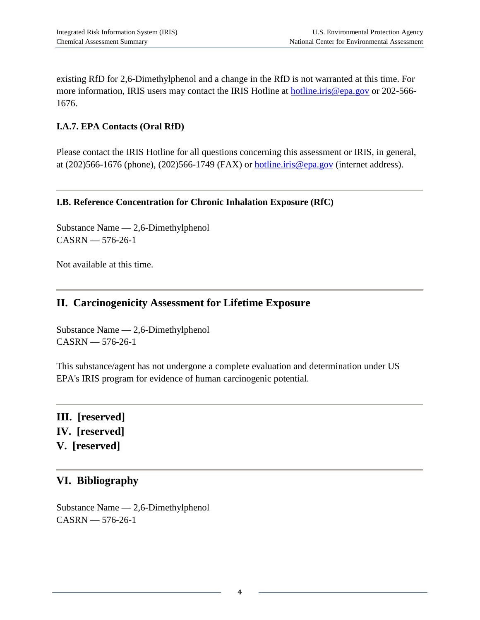existing RfD for 2,6-Dimethylphenol and a change in the RfD is not warranted at this time. For more information, IRIS users may contact the IRIS Hotline at [hotline.iris@epa.gov](mailto:hotline.iris@epa.gov) or 202-566-1676.

#### **I.A.7. EPA Contacts (Oral RfD)**

Please contact the IRIS Hotline for all questions concerning this assessment or IRIS, in general, at (202)566-1676 (phone), (202)566-1749 (FAX) or [hotline.iris@epa.gov](mailto:hotline.iris@epa.gov) (internet address).

#### **I.B. Reference Concentration for Chronic Inhalation Exposure (RfC)**

Substance Name — 2,6-Dimethylphenol CASRN — 576-26-1

Not available at this time.

## **II. Carcinogenicity Assessment for Lifetime Exposure**

Substance Name — 2,6-Dimethylphenol CASRN — 576-26-1

This substance/agent has not undergone a complete evaluation and determination under US EPA's IRIS program for evidence of human carcinogenic potential.

**III. [reserved] IV. [reserved] V. [reserved]**

## **VI. Bibliography**

Substance Name — 2,6-Dimethylphenol CASRN — 576-26-1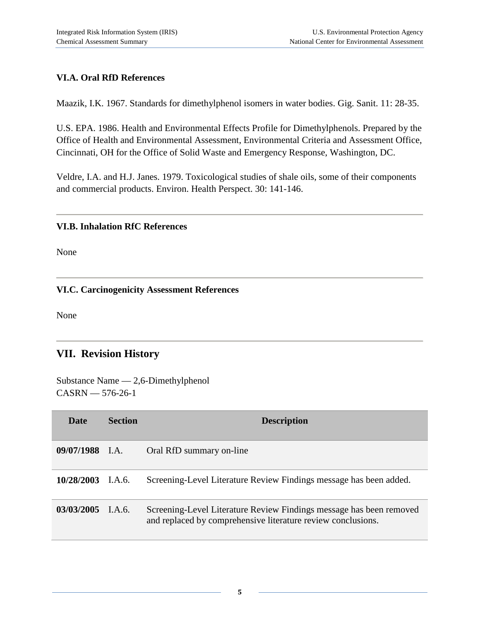## **VI.A. Oral RfD References**

Maazik, I.K. 1967. Standards for dimethylphenol isomers in water bodies. Gig. Sanit. 11: 28-35.

U.S. EPA. 1986. Health and Environmental Effects Profile for Dimethylphenols. Prepared by the Office of Health and Environmental Assessment, Environmental Criteria and Assessment Office, Cincinnati, OH for the Office of Solid Waste and Emergency Response, Washington, DC.

Veldre, I.A. and H.J. Janes. 1979. Toxicological studies of shale oils, some of their components and commercial products. Environ. Health Perspect. 30: 141-146.

#### **VI.B. Inhalation RfC References**

None

#### **VI.C. Carcinogenicity Assessment References**

None

# **VII. Revision History**

Substance Name — 2,6-Dimethylphenol CASRN — 576-26-1

| <b>Date</b>         | <b>Section</b>                       | <b>Description</b>                                                                                                                  |
|---------------------|--------------------------------------|-------------------------------------------------------------------------------------------------------------------------------------|
| 09/07/1988 I.A.     |                                      | Oral RfD summary on-line                                                                                                            |
| $10/28/2003$ I.A.6. |                                      | Screening-Level Literature Review Findings message has been added.                                                                  |
| 03/03/2005          | $\mathsf{I}.\mathsf{A}.\mathsf{6}$ . | Screening-Level Literature Review Findings message has been removed<br>and replaced by comprehensive literature review conclusions. |